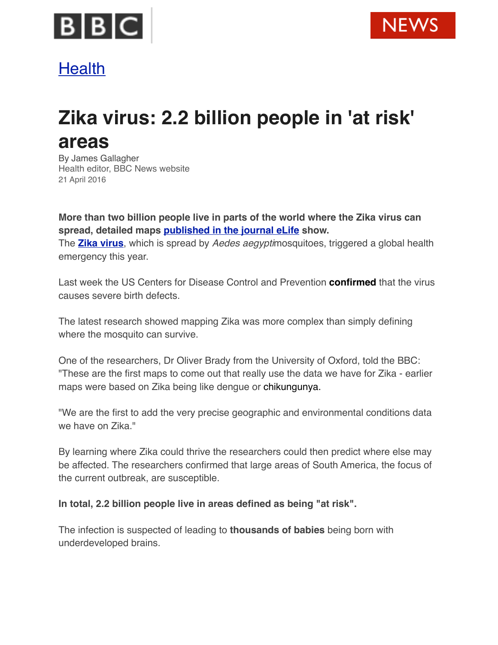

## [Health](http://www.bbc.com/news/health)

## **Zika virus: 2.2 billion people in 'at risk' areas**

By James Gallagher Health editor, BBC News website 21 April 2016

**More than two billion people live in parts of the world where the Zika virus can spread, detailed maps [published in the journal eLife](http://elifesciences.org/content/5/e15272v1) show.** The **[Zika virus](http://www.bbc.co.uk/news/health-35370848)**, which is spread by *Aedes aegypti*mosquitoes, triggered a global health

emergency this year.

Last week the US Centers for Disease Control and Prevention **[confirmed](http://www.bbc.co.uk/news/world-us-canada-36040881)** that the virus causes severe birth defects.

The latest research showed mapping Zika was more complex than simply defining where the mosquito can survive.

One of the researchers, Dr Oliver Brady from the University of Oxford, told the BBC: "These are the first maps to come out that really use the data we have for Zika - earlier maps were based on Zika being like dengue or [chikungunya.](http://www.bbc.co.uk/news/world-latin-america-28123674)

"We are the first to add the very precise geographic and environmental conditions data we have on Zika."

By learning where Zika could thrive the researchers could then predict where else may be affected. The researchers confirmed that large areas of South America, the focus of the current outbreak, are susceptible.

**In total, 2.2 billion people live in areas defined as being "at risk".**

The infection is suspected of leading to **thousands of babies** being born with underdeveloped brains.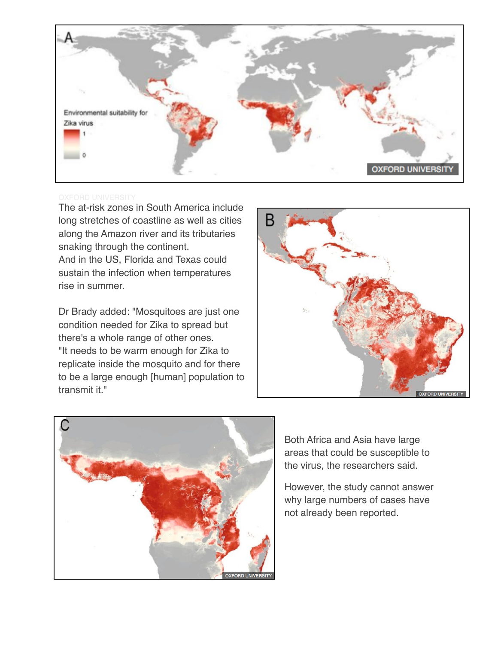

The at-risk zones in South America include long stretches of coastline as well as cities along the Amazon river and its tributaries snaking through the continent. And in the US, Florida and Texas could sustain the infection when temperatures rise in summer.

Dr Brady added: "Mosquitoes are just one condition needed for Zika to spread but there's a whole range of other ones. "It needs to be warm enough for Zika to replicate inside the mosquito and for there to be a large enough [human] population to transmit it."





Both Africa and Asia have large areas that could be susceptible to the virus, the researchers said.

However, the study cannot answer why large numbers of cases have not already been reported.